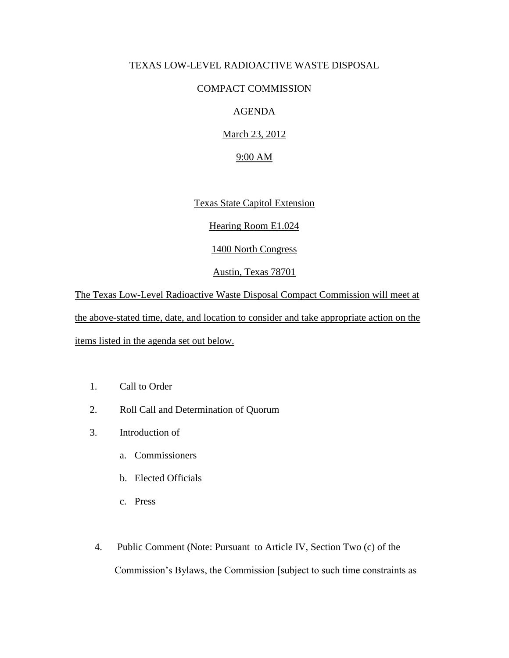## TEXAS LOW-LEVEL RADIOACTIVE WASTE DISPOSAL

## COMPACT COMMISSION

## AGENDA

March 23, 2012

## 9:00 AM

Texas State Capitol Extension

Hearing Room E1.024

1400 North Congress

Austin, Texas 78701

The Texas Low-Level Radioactive Waste Disposal Compact Commission will meet at the above-stated time, date, and location to consider and take appropriate action on the items listed in the agenda set out below.

- 1. Call to Order
- 2. Roll Call and Determination of Quorum
- 3. Introduction of
	- a. Commissioners
	- b. Elected Officials
	- c. Press
- 4. Public Comment (Note: Pursuant to Article IV, Section Two (c) of the Commission's Bylaws, the Commission [subject to such time constraints as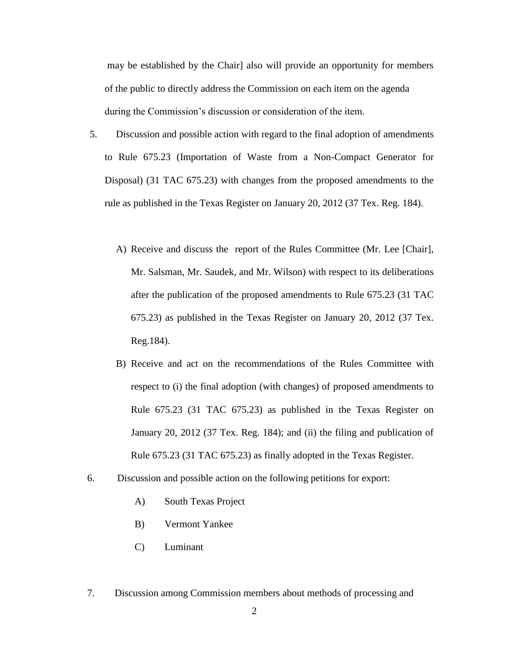may be established by the Chair] also will provide an opportunity for members of the public to directly address the Commission on each item on the agenda during the Commission's discussion or consideration of the item.

- 5. Discussion and possible action with regard to the final adoption of amendments to Rule 675.23 (Importation of Waste from a Non-Compact Generator for Disposal) (31 TAC 675.23) with changes from the proposed amendments to the rule as published in the Texas Register on January 20, 2012 (37 Tex. Reg. 184).
	- A) Receive and discuss the report of the Rules Committee (Mr. Lee [Chair], Mr. Salsman, Mr. Saudek, and Mr. Wilson) with respect to its deliberations after the publication of the proposed amendments to Rule 675.23 (31 TAC 675.23) as published in the Texas Register on January 20, 2012 (37 Tex. Reg.184).
	- B) Receive and act on the recommendations of the Rules Committee with respect to (i) the final adoption (with changes) of proposed amendments to Rule 675.23 (31 TAC 675.23) as published in the Texas Register on January 20, 2012 (37 Tex. Reg. 184); and (ii) the filing and publication of Rule 675.23 (31 TAC 675.23) as finally adopted in the Texas Register.
- 6. Discussion and possible action on the following petitions for export:
	- A) South Texas Project
	- B) Vermont Yankee
	- C) Luminant
- 7. Discussion among Commission members about methods of processing and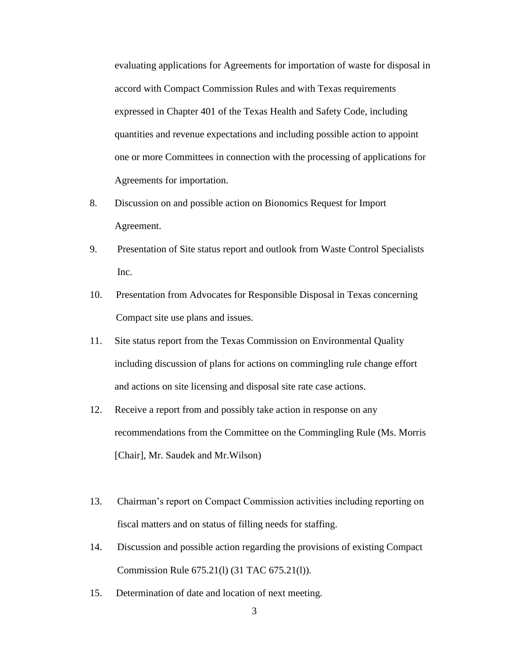evaluating applications for Agreements for importation of waste for disposal in accord with Compact Commission Rules and with Texas requirements expressed in Chapter 401 of the Texas Health and Safety Code, including quantities and revenue expectations and including possible action to appoint one or more Committees in connection with the processing of applications for Agreements for importation.

- 8. Discussion on and possible action on Bionomics Request for Import Agreement.
- 9. Presentation of Site status report and outlook from Waste Control Specialists Inc.
- 10. Presentation from Advocates for Responsible Disposal in Texas concerning Compact site use plans and issues.
- 11. Site status report from the Texas Commission on Environmental Quality including discussion of plans for actions on commingling rule change effort and actions on site licensing and disposal site rate case actions.
- 12. Receive a report from and possibly take action in response on any recommendations from the Committee on the Commingling Rule (Ms. Morris [Chair], Mr. Saudek and Mr.Wilson)
- 13. Chairman's report on Compact Commission activities including reporting on fiscal matters and on status of filling needs for staffing.
- 14. Discussion and possible action regarding the provisions of existing Compact Commission Rule 675.21(l) (31 TAC 675.21(l)).
- 15. Determination of date and location of next meeting.